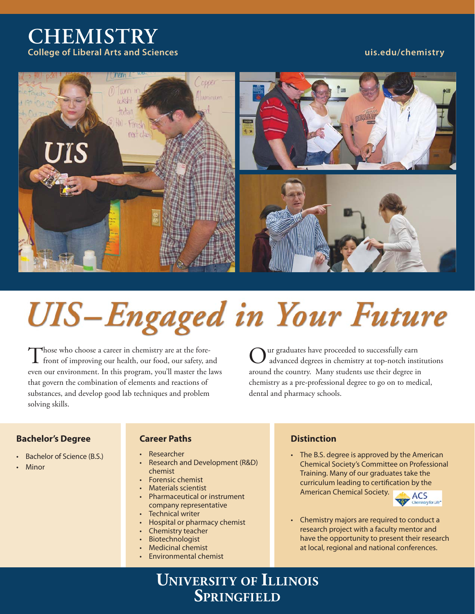# **CHEMISTRY College of Liberal Arts and Sciences uis.edu/chemistry**



# **UIS-Engaged in Your Future**

Those who choose a career in chemistry are at the fore-<br>front of improving our health, our food, our safety, and even our environment. In this program, you'll master the laws that govern the combination of elements and reactions of substances, and develop good lab techniques and problem solving skills.

Our graduates have proceeded to successfully earn advanced degrees in chemistry at top-notch institutions around the country. Many students use their degree in chemistry as a pre-professional degree to go on to medical, dental and pharmacy schools.

# **Bachelor's Degree**

- Bachelor of Science (B.S.)
- **Minor**

## **Career Paths Career Paths**

- Researcher
- Research and Development (R&D) chemist
- Forensic chemist
- Materials scientist
- Pharmaceutical or instrument company representative
- Technical writer
- Hospital or pharmacy chemist
- Chemistry teacher
- **Biotechnologist**
- Medicinal chemist
- Environmental chemist

• The B.S. degree is approved by the American Chemical Society's Committee on Professional Training. Many of our graduates take the curriculum leading to certification by the American Chemical Society.



- Chemistry majors are required to conduct a research project with a faculty mentor and have the opportunity to present their research at local, regional and national conferences.
- **UNIVERSITY OF ILLINOIS SPRINGFIELD**